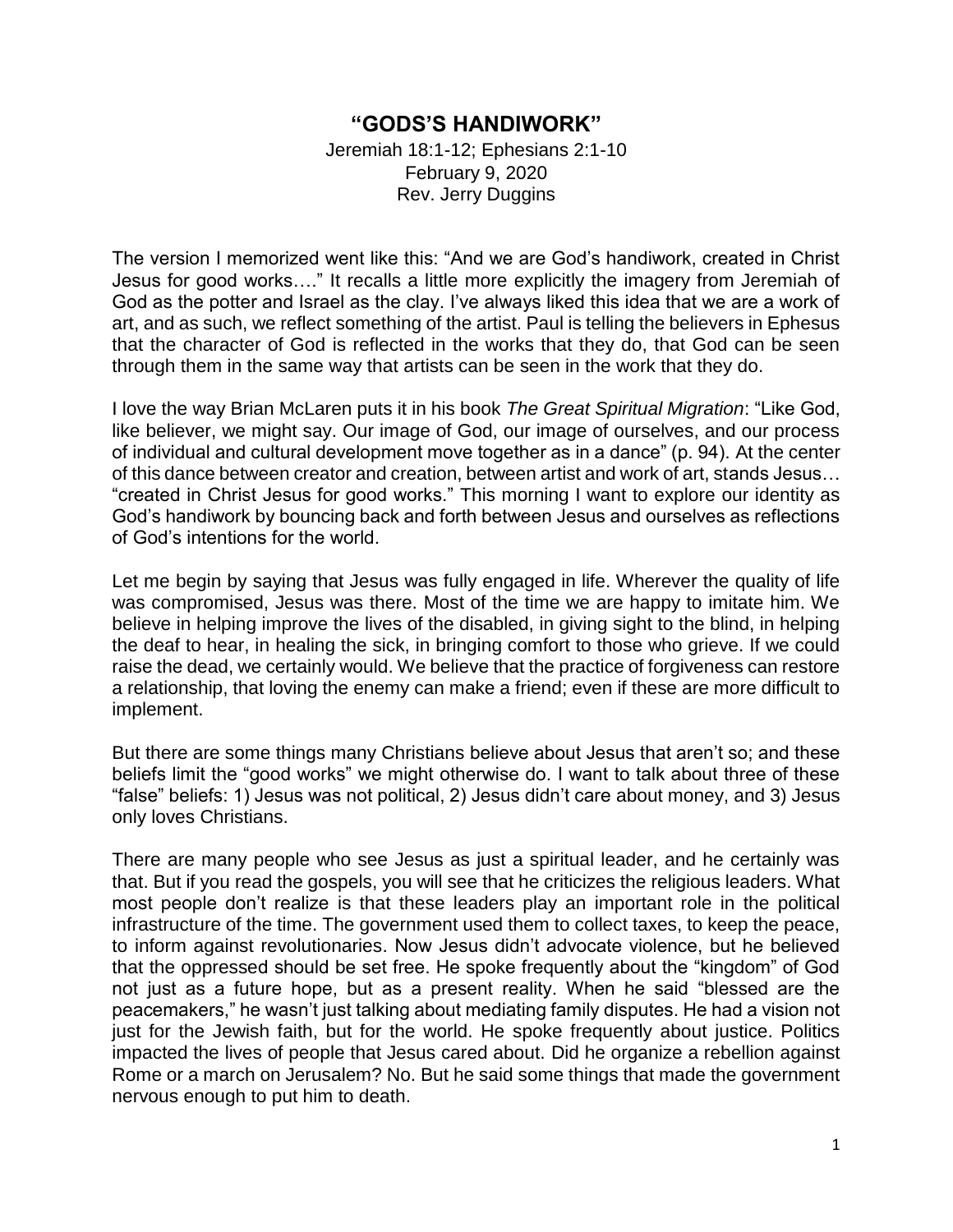## **"GODS'S HANDIWORK"**

Jeremiah 18:1-12; Ephesians 2:1-10 February 9, 2020 Rev. Jerry Duggins

The version I memorized went like this: "And we are God's handiwork, created in Christ Jesus for good works…." It recalls a little more explicitly the imagery from Jeremiah of God as the potter and Israel as the clay. I've always liked this idea that we are a work of art, and as such, we reflect something of the artist. Paul is telling the believers in Ephesus that the character of God is reflected in the works that they do, that God can be seen through them in the same way that artists can be seen in the work that they do.

I love the way Brian McLaren puts it in his book *The Great Spiritual Migration*: "Like God, like believer, we might say. Our image of God, our image of ourselves, and our process of individual and cultural development move together as in a dance" (p. 94). At the center of this dance between creator and creation, between artist and work of art, stands Jesus… "created in Christ Jesus for good works." This morning I want to explore our identity as God's handiwork by bouncing back and forth between Jesus and ourselves as reflections of God's intentions for the world.

Let me begin by saying that Jesus was fully engaged in life. Wherever the quality of life was compromised, Jesus was there. Most of the time we are happy to imitate him. We believe in helping improve the lives of the disabled, in giving sight to the blind, in helping the deaf to hear, in healing the sick, in bringing comfort to those who grieve. If we could raise the dead, we certainly would. We believe that the practice of forgiveness can restore a relationship, that loving the enemy can make a friend; even if these are more difficult to implement.

But there are some things many Christians believe about Jesus that aren't so; and these beliefs limit the "good works" we might otherwise do. I want to talk about three of these "false" beliefs: 1) Jesus was not political, 2) Jesus didn't care about money, and 3) Jesus only loves Christians.

There are many people who see Jesus as just a spiritual leader, and he certainly was that. But if you read the gospels, you will see that he criticizes the religious leaders. What most people don't realize is that these leaders play an important role in the political infrastructure of the time. The government used them to collect taxes, to keep the peace, to inform against revolutionaries. Now Jesus didn't advocate violence, but he believed that the oppressed should be set free. He spoke frequently about the "kingdom" of God not just as a future hope, but as a present reality. When he said "blessed are the peacemakers," he wasn't just talking about mediating family disputes. He had a vision not just for the Jewish faith, but for the world. He spoke frequently about justice. Politics impacted the lives of people that Jesus cared about. Did he organize a rebellion against Rome or a march on Jerusalem? No. But he said some things that made the government nervous enough to put him to death.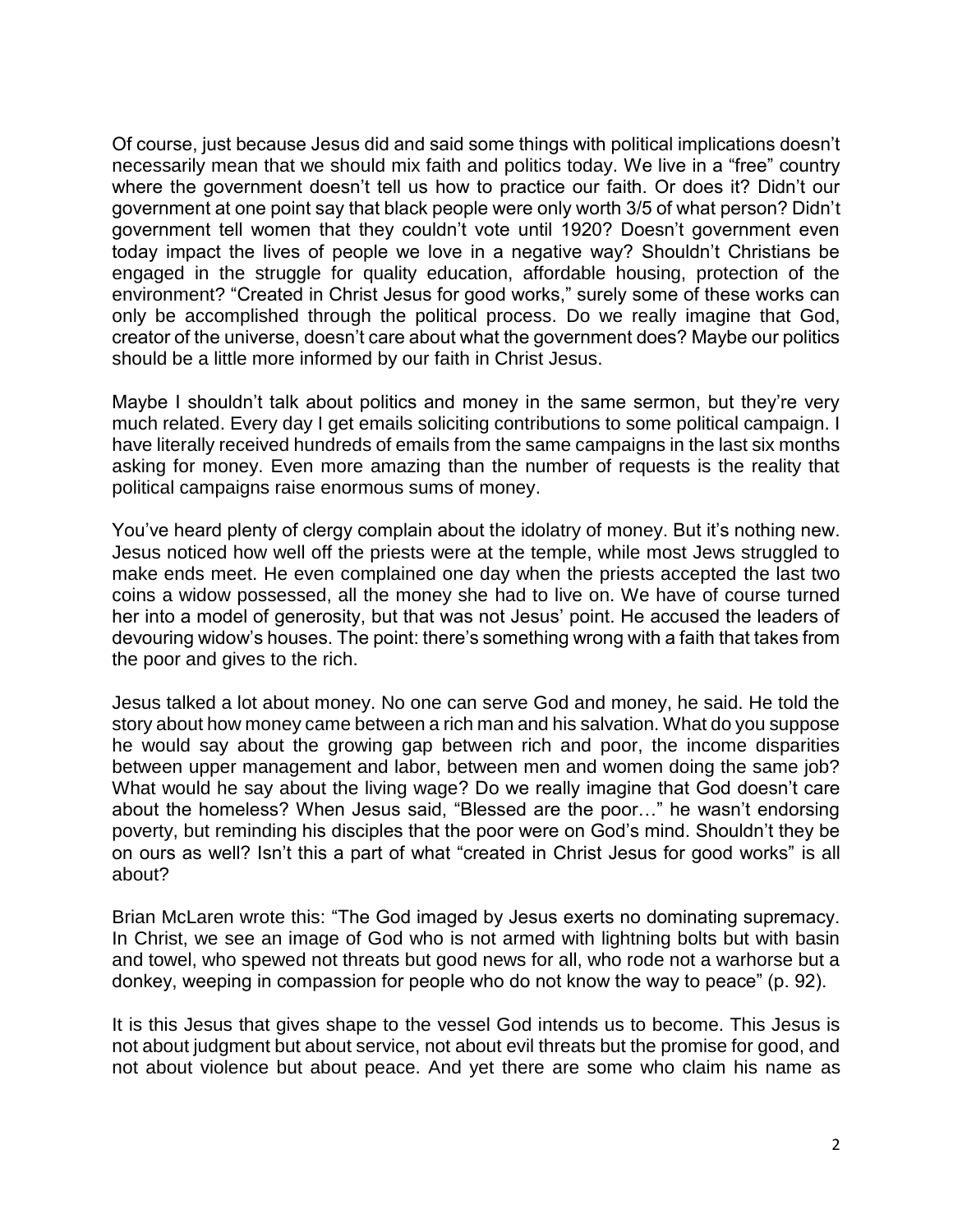Of course, just because Jesus did and said some things with political implications doesn't necessarily mean that we should mix faith and politics today. We live in a "free" country where the government doesn't tell us how to practice our faith. Or does it? Didn't our government at one point say that black people were only worth 3/5 of what person? Didn't government tell women that they couldn't vote until 1920? Doesn't government even today impact the lives of people we love in a negative way? Shouldn't Christians be engaged in the struggle for quality education, affordable housing, protection of the environment? "Created in Christ Jesus for good works," surely some of these works can only be accomplished through the political process. Do we really imagine that God, creator of the universe, doesn't care about what the government does? Maybe our politics should be a little more informed by our faith in Christ Jesus.

Maybe I shouldn't talk about politics and money in the same sermon, but they're very much related. Every day I get emails soliciting contributions to some political campaign. I have literally received hundreds of emails from the same campaigns in the last six months asking for money. Even more amazing than the number of requests is the reality that political campaigns raise enormous sums of money.

You've heard plenty of clergy complain about the idolatry of money. But it's nothing new. Jesus noticed how well off the priests were at the temple, while most Jews struggled to make ends meet. He even complained one day when the priests accepted the last two coins a widow possessed, all the money she had to live on. We have of course turned her into a model of generosity, but that was not Jesus' point. He accused the leaders of devouring widow's houses. The point: there's something wrong with a faith that takes from the poor and gives to the rich.

Jesus talked a lot about money. No one can serve God and money, he said. He told the story about how money came between a rich man and his salvation. What do you suppose he would say about the growing gap between rich and poor, the income disparities between upper management and labor, between men and women doing the same job? What would he say about the living wage? Do we really imagine that God doesn't care about the homeless? When Jesus said, "Blessed are the poor…" he wasn't endorsing poverty, but reminding his disciples that the poor were on God's mind. Shouldn't they be on ours as well? Isn't this a part of what "created in Christ Jesus for good works" is all about?

Brian McLaren wrote this: "The God imaged by Jesus exerts no dominating supremacy. In Christ, we see an image of God who is not armed with lightning bolts but with basin and towel, who spewed not threats but good news for all, who rode not a warhorse but a donkey, weeping in compassion for people who do not know the way to peace" (p. 92).

It is this Jesus that gives shape to the vessel God intends us to become. This Jesus is not about judgment but about service, not about evil threats but the promise for good, and not about violence but about peace. And yet there are some who claim his name as